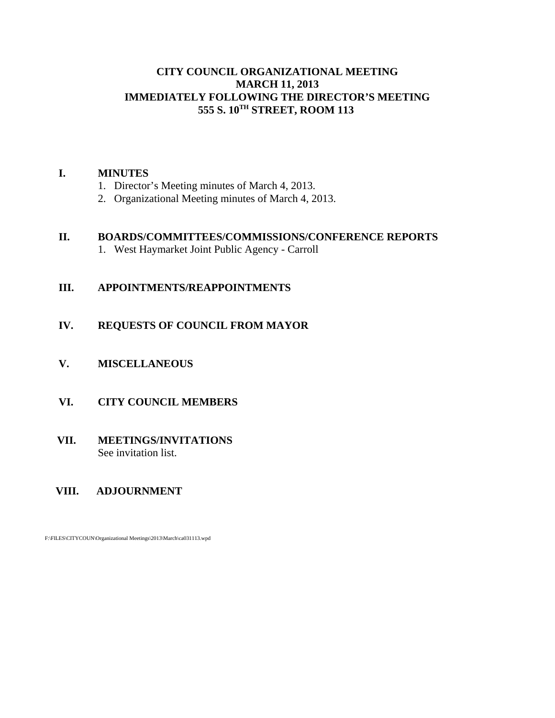## **CITY COUNCIL ORGANIZATIONAL MEETING MARCH 11, 2013 IMMEDIATELY FOLLOWING THE DIRECTOR'S MEETING 555 S. 10TH STREET, ROOM 113**

#### **I. MINUTES**

- 1. Director's Meeting minutes of March 4, 2013.
- 2. Organizational Meeting minutes of March 4, 2013.

#### **II. BOARDS/COMMITTEES/COMMISSIONS/CONFERENCE REPORTS**

1. West Haymarket Joint Public Agency - Carroll

# **III. APPOINTMENTS/REAPPOINTMENTS**

# **IV. REQUESTS OF COUNCIL FROM MAYOR**

**V. MISCELLANEOUS**

## **VI. CITY COUNCIL MEMBERS**

## **VII. MEETINGS/INVITATIONS** See invitation list.

## **VIII. ADJOURNMENT**

F:\FILES\CITYCOUN\Organizational Meetings\2013\March\ca031113.wpd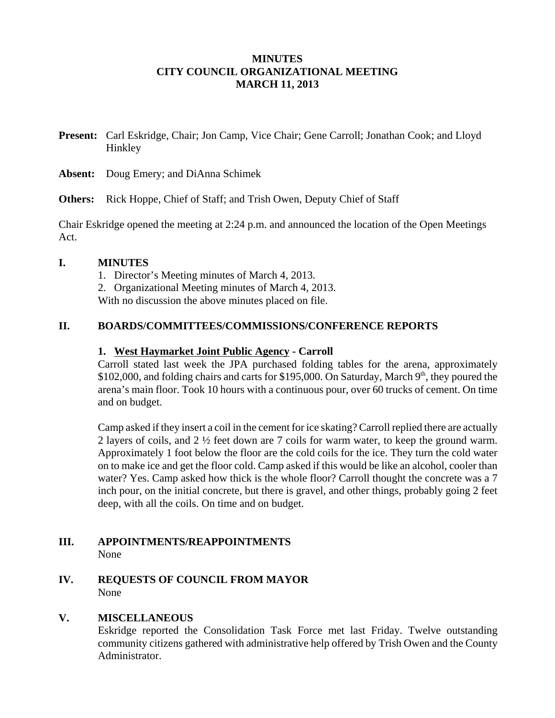## **MINUTES CITY COUNCIL ORGANIZATIONAL MEETING MARCH 11, 2013**

**Present:** Carl Eskridge, Chair; Jon Camp, Vice Chair; Gene Carroll; Jonathan Cook; and Lloyd Hinkley

**Absent:** Doug Emery; and DiAnna Schimek

**Others:** Rick Hoppe, Chief of Staff; and Trish Owen, Deputy Chief of Staff

Chair Eskridge opened the meeting at 2:24 p.m. and announced the location of the Open Meetings Act.

### **I. MINUTES**

- 1. Director's Meeting minutes of March 4, 2013.
- 2. Organizational Meeting minutes of March 4, 2013.

With no discussion the above minutes placed on file.

## **II. BOARDS/COMMITTEES/COMMISSIONS/CONFERENCE REPORTS**

#### **1. West Haymarket Joint Public Agency - Carroll**

Carroll stated last week the JPA purchased folding tables for the arena, approximately  $$102,000$ , and folding chairs and carts for  $$195,000$ . On Saturday, March 9<sup>th</sup>, they poured the arena's main floor. Took 10 hours with a continuous pour, over 60 trucks of cement. On time and on budget.

Camp asked if they insert a coil in the cement for ice skating? Carroll replied there are actually 2 layers of coils, and 2 ½ feet down are 7 coils for warm water, to keep the ground warm. Approximately 1 foot below the floor are the cold coils for the ice. They turn the cold water on to make ice and get the floor cold. Camp asked if this would be like an alcohol, cooler than water? Yes. Camp asked how thick is the whole floor? Carroll thought the concrete was a 7 inch pour, on the initial concrete, but there is gravel, and other things, probably going 2 feet deep, with all the coils. On time and on budget.

### **III. APPOINTMENTS/REAPPOINTMENTS** None

# **IV. REQUESTS OF COUNCIL FROM MAYOR** None

# **V. MISCELLANEOUS**

Eskridge reported the Consolidation Task Force met last Friday. Twelve outstanding community citizens gathered with administrative help offered by Trish Owen and the County Administrator.